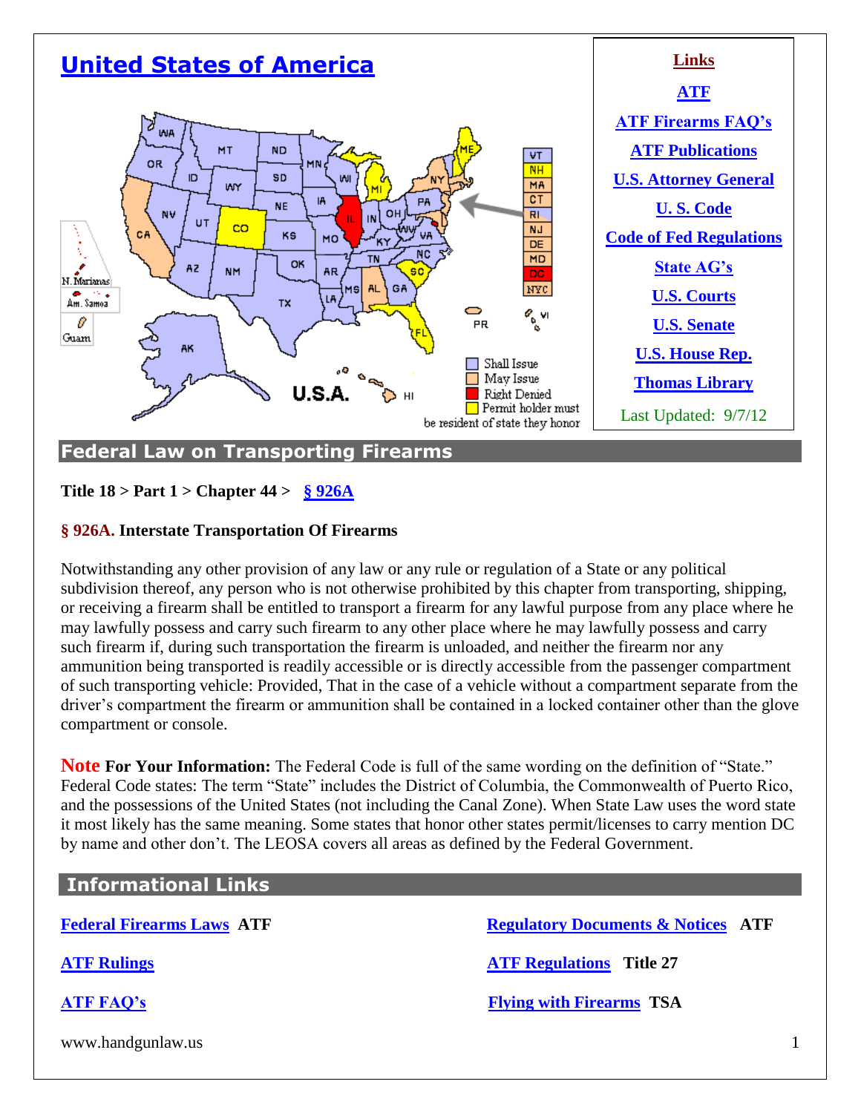

## **Title 18 > Part 1 > Chapter 44 > § [926A](http://www.law.cornell.edu/uscode/html/uscode18/usc_sec_18_00000926---A000-.html)**

#### **§ 926A. Interstate Transportation Of Firearms**

Notwithstanding any other provision of any law or any rule or regulation of a State or any political subdivision thereof, any person who is not otherwise prohibited by this chapter from transporting, shipping, or receiving a firearm shall be entitled to transport a firearm for any lawful purpose from any place where he may lawfully possess and carry such firearm to any other place where he may lawfully possess and carry such firearm if, during such transportation the firearm is unloaded, and neither the firearm nor any ammunition being transported is readily accessible or is directly accessible from the passenger compartment of such transporting vehicle: Provided, That in the case of a vehicle without a compartment separate from the driver's compartment the firearm or ammunition shall be contained in a locked container other than the glove compartment or console.

**Note For Your Information:** The Federal Code is full of the same wording on the definition of "State." Federal Code states: The term "State" includes the District of Columbia, the Commonwealth of Puerto Rico, and the possessions of the United States (not including the Canal Zone). When State Law uses the word state it most likely has the same meaning. Some states that honor other states permit/licenses to carry mention DC by name and other don't. The LEOSA covers all areas as defined by the Federal Government.

#### **Informational Links**

**[Federal Firearms Laws](http://www.atf.gov/regulations-rulings/laws/) ATF [Regulatory Documents & Notices](http://www.atf.gov/regulations-rulings/rulemakings/) ATF**

**[ATF Rulings](http://www.atf.gov/regulations-rulings/rulings/) [ATF Regulations](http://www.atf.gov/regulations-rulings/regulations/) Title 27**

**[ATF FAQ's](http://www.atf.gov/firearms/faq/) [Flying with Firearms](http://www.tsa.gov/assets/pdf/prohibited_items_brochure.pdf) TSA**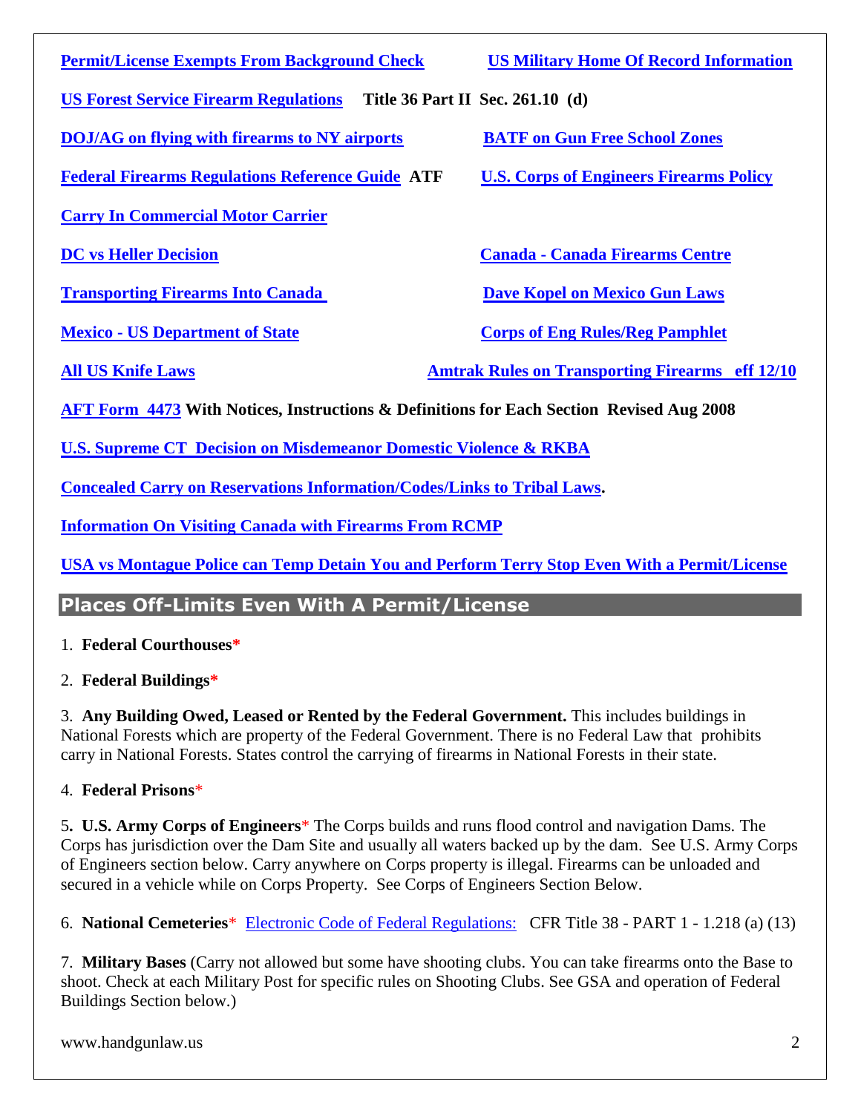| <b>Permit/License Exempts From Background Check</b>                                             | <b>US Military Home Of Record Information</b>          |
|-------------------------------------------------------------------------------------------------|--------------------------------------------------------|
| <b>US Forest Service Firearm Regulations</b> Title 36 Part II Sec. 261.10 (d)                   |                                                        |
| <b>DOJ/AG</b> on flying with firearms to NY airports                                            | <b>BATF on Gun Free School Zones</b>                   |
| <b>Federal Firearms Regulations Reference Guide ATF</b>                                         | <b>U.S. Corps of Engineers Firearms Policy</b>         |
| <b>Carry In Commercial Motor Carrier</b>                                                        |                                                        |
| <b>DC</b> vs Heller Decision                                                                    | <b>Canada - Canada Firearms Centre</b>                 |
| <b>Transporting Firearms Into Canada</b>                                                        | <b>Dave Kopel on Mexico Gun Laws</b>                   |
| <b>Mexico - US Department of State</b>                                                          | <b>Corps of Eng Rules/Reg Pamphlet</b>                 |
| <b>All US Knife Laws</b>                                                                        | <b>Amtrak Rules on Transporting Firearms</b> eff 12/10 |
| <b>AFT Form 4473</b> With Notices, Instructions & Definitions for Each Section Revised Aug 2008 |                                                        |
| <b>U.S. Supreme CT Decision on Misdemeanor Domestic Violence &amp; RKBA</b>                     |                                                        |
| <b>Concealed Carry on Reservations Information/Codes/Links to Tribal Laws.</b>                  |                                                        |
| <b>Information On Visiting Canada with Firearms From RCMP</b>                                   |                                                        |
| USA vs Montague Police can Temp Detain You and Perform Terry Stop Even With a Permit/License    |                                                        |

# **Places Off-Limits Even With A Permit/License**

# 1. **Federal Courthouses\***

# 2. **Federal Buildings\***

3. **Any Building Owed, Leased or Rented by the Federal Government.** This includes buildings in National Forests which are property of the Federal Government. There is no Federal Law that prohibits carry in National Forests. States control the carrying of firearms in National Forests in their state.

# 4. **Federal Prisons**\*

5**. U.S. Army Corps of Engineers**\* The Corps builds and runs flood control and navigation Dams. The Corps has jurisdiction over the Dam Site and usually all waters backed up by the dam. See U.S. Army Corps of Engineers section below. Carry anywhere on Corps property is illegal. Firearms can be unloaded and secured in a vehicle while on Corps Property. See Corps of Engineers Section Below.

6. **National Cemeteries**\* [Electronic Code of Federal Regulations:](http://ecfr.gpoaccess.gov/cgi/t/text/text-idx?c=ecfr&sid=94dac48604576a75f6588aa06a4c0b28&rgn=div8&view=text&node=38:1.0.1.1.2.0.6.12&idno=38) CFR Title 38 - PART 1 - 1.218 (a) (13)

7. **Military Bases** (Carry not allowed but some have shooting clubs. You can take firearms onto the Base to shoot. Check at each Military Post for specific rules on Shooting Clubs. See GSA and operation of Federal Buildings Section below.)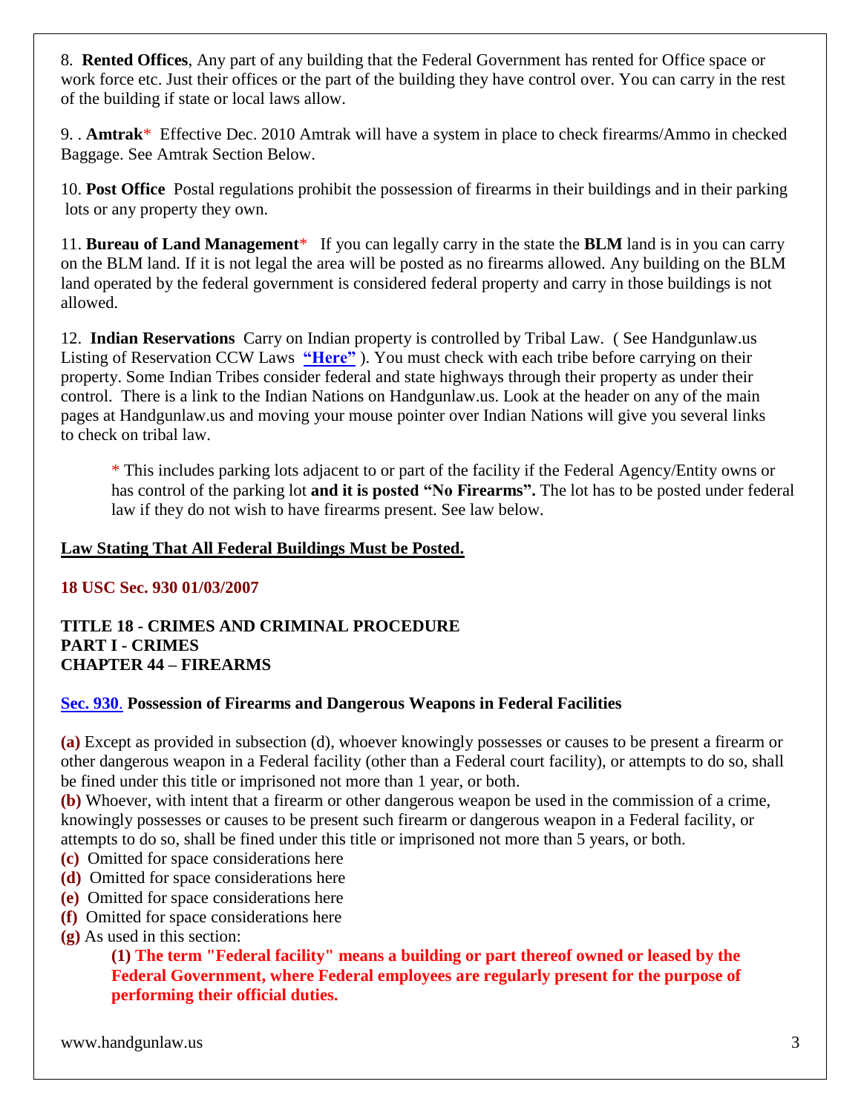8. **Rented Offices**, Any part of any building that the Federal Government has rented for Office space or work force etc. Just their offices or the part of the building they have control over. You can carry in the rest of the building if state or local laws allow.

9. . **Amtrak**\* Effective Dec. 2010 Amtrak will have a system in place to check firearms/Ammo in checked Baggage. See Amtrak Section Below.

10. **Post Office** Postal regulations prohibit the possession of firearms in their buildings and in their parking lots or any property they own.

11. **Bureau of Land Management**\* If you can legally carry in the state the **BLM** land is in you can carry on the BLM land. If it is not legal the area will be posted as no firearms allowed. Any building on the BLM land operated by the federal government is considered federal property and carry in those buildings is not allowed.

12. **Indian Reservations** Carry on Indian property is controlled by Tribal Law. ( See Handgunlaw.us Listing of Reservation CCW Laws **["Here"](http://www.handgunlaw.us/documents/tribal_law_ccw.pdf)** ). You must check with each tribe before carrying on their property. Some Indian Tribes consider federal and state highways through their property as under their control. There is a link to the Indian Nations on Handgunlaw.us. Look at the header on any of the main pages at Handgunlaw.us and moving your mouse pointer over Indian Nations will give you several links to check on tribal law.

\* This includes parking lots adjacent to or part of the facility if the Federal Agency/Entity owns or has control of the parking lot **and it is posted "No Firearms".** The lot has to be posted under federal law if they do not wish to have firearms present. See law below.

#### **Law Stating That All Federal Buildings Must be Posted.**

#### **18 USC Sec. 930 01/03/2007**

#### **TITLE 18 - CRIMES AND CRIMINAL PROCEDURE PART I - CRIMES CHAPTER 44 – FIREARMS**

#### **[Sec. 930](http://www.law.cornell.edu/uscode/html/uscode18/usc_sec_18_00000930----000-.html)**. **Possession of Firearms and Dangerous Weapons in Federal Facilities**

**(a)** Except as provided in subsection (d), whoever knowingly possesses or causes to be present a firearm or other dangerous weapon in a Federal facility (other than a Federal court facility), or attempts to do so, shall be fined under this title or imprisoned not more than 1 year, or both.

**(b)** Whoever, with intent that a firearm or other dangerous weapon be used in the commission of a crime, knowingly possesses or causes to be present such firearm or dangerous weapon in a Federal facility, or attempts to do so, shall be fined under this title or imprisoned not more than 5 years, or both.

- **(c)** Omitted for space considerations here
- **(d)** Omitted for space considerations here
- **(e)** Omitted for space considerations here
- **(f)** Omitted for space considerations here

#### **(g)** As used in this section:

**(1) The term "Federal facility" means a building or part thereof owned or leased by the Federal Government, where Federal employees are regularly present for the purpose of performing their official duties.**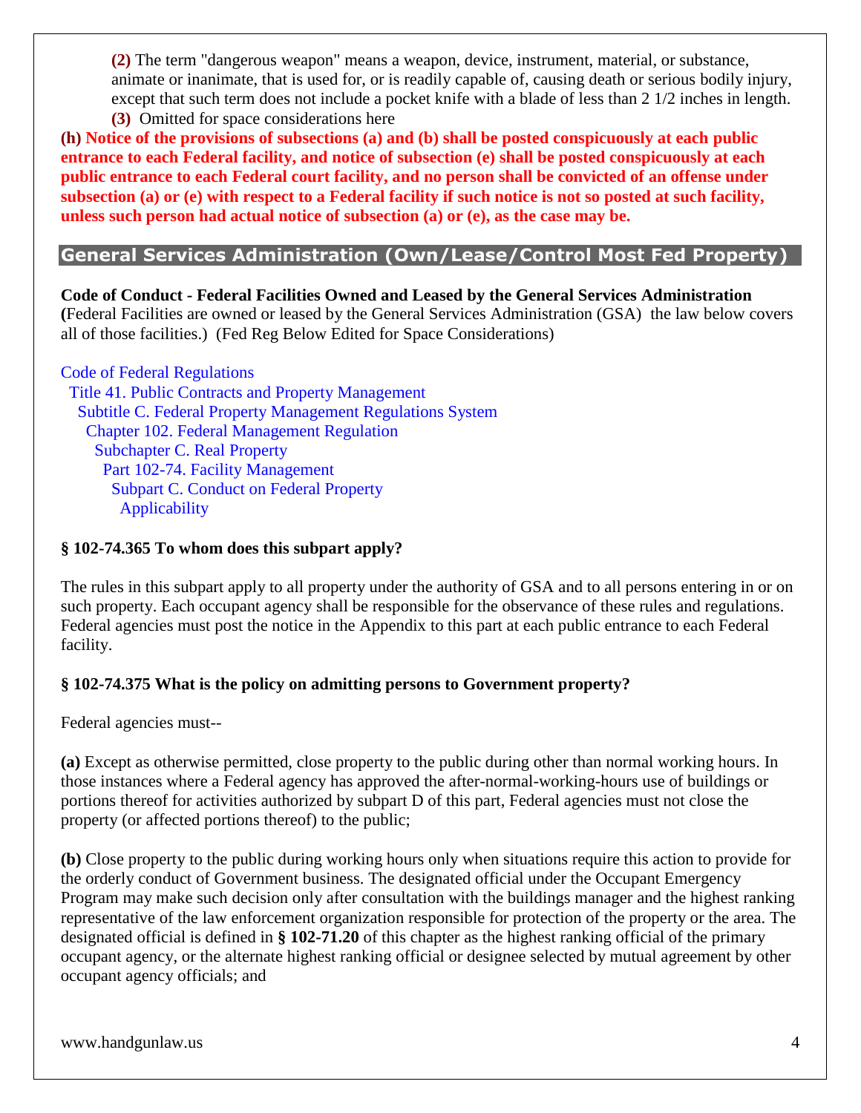**(2)** The term "dangerous weapon" means a weapon, device, instrument, material, or substance, animate or inanimate, that is used for, or is readily capable of, causing death or serious bodily injury, except that such term does not include a pocket knife with a blade of less than 2 1/2 inches in length.

**(3)** Omitted for space considerations here

**(h) Notice of the provisions of subsections (a) and (b) shall be posted conspicuously at each public entrance to each Federal facility, and notice of subsection (e) shall be posted conspicuously at each public entrance to each Federal court facility, and no person shall be convicted of an offense under subsection (a) or (e) with respect to a Federal facility if such notice is not so posted at such facility, unless such person had actual notice of subsection (a) or (e), as the case may be.**

## **General Services Administration (Own/Lease/Control Most Fed Property)**

**Code of Conduct - Federal Facilities Owned and Leased by the General Services Administration (**Federal Facilities are owned or leased by the General Services Administration (GSA) the law below covers all of those facilities.) (Fed Reg Below Edited for Space Considerations)

[Code of Federal Regulations](http://www.dhs.gov/xabout/structure/gc_1288840352057.shtm)

 [Title 41. Public Contracts and Property Management](http://www.dhs.gov/xabout/structure/gc_1288840352057.shtm)  [Subtitle C. Federal Property Management Regulations System](http://www.dhs.gov/xabout/structure/gc_1288840352057.shtm)  [Chapter 102. Federal Management Regulation](http://www.dhs.gov/xabout/structure/gc_1288840352057.shtm)  [Subchapter C. Real Property](http://www.dhs.gov/xabout/structure/gc_1288840352057.shtm)  [Part 102-74. Facility Management](http://www.dhs.gov/xabout/structure/gc_1288840352057.shtm)  [Subpart C. Conduct on Federal Property](http://www.dhs.gov/xabout/structure/gc_1288840352057.shtm)  [Applicability](http://www.dhs.gov/xabout/structure/gc_1288840352057.shtm)

#### **§ 102-74.365 To whom does this subpart apply?**

The rules in this subpart apply to all property under the authority of GSA and to all persons entering in or on such property. Each occupant agency shall be responsible for the observance of these rules and regulations. Federal agencies must post the notice in the Appendix to this part at each public entrance to each Federal facility.

#### **§ 102-74.375 What is the policy on admitting persons to Government property?**

Federal agencies must--

**(a)** Except as otherwise permitted, close property to the public during other than normal working hours. In those instances where a Federal agency has approved the after-normal-working-hours use of buildings or portions thereof for activities authorized by subpart D of this part, Federal agencies must not close the property (or affected portions thereof) to the public;

**(b)** Close property to the public during working hours only when situations require this action to provide for the orderly conduct of Government business. The designated official under the Occupant Emergency Program may make such decision only after consultation with the buildings manager and the highest ranking representative of the law enforcement organization responsible for protection of the property or the area. The designated official is defined in **§ 102-71.20** of this chapter as the highest ranking official of the primary occupant agency, or the alternate highest ranking official or designee selected by mutual agreement by other occupant agency officials; and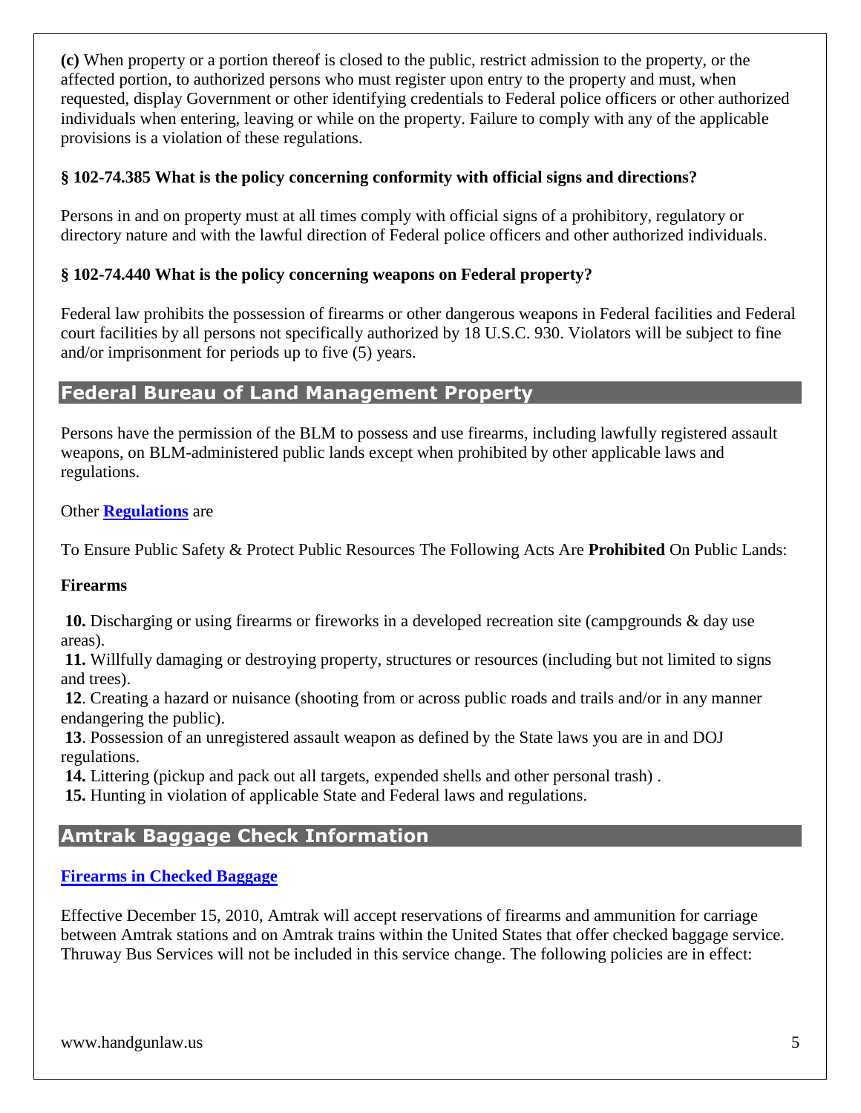**(c)** When property or a portion thereof is closed to the public, restrict admission to the property, or the affected portion, to authorized persons who must register upon entry to the property and must, when requested, display Government or other identifying credentials to Federal police officers or other authorized individuals when entering, leaving or while on the property. Failure to comply with any of the applicable provisions is a violation of these regulations.

## **§ 102-74.385 What is the policy concerning conformity with official signs and directions?**

Persons in and on property must at all times comply with official signs of a prohibitory, regulatory or directory nature and with the lawful direction of Federal police officers and other authorized individuals.

### **§ 102-74.440 What is the policy concerning weapons on Federal property?**

Federal law prohibits the possession of firearms or other dangerous weapons in Federal facilities and Federal court facilities by all persons not specifically authorized by 18 U.S.C. 930. Violators will be subject to fine and/or imprisonment for periods up to five (5) years.

## **Federal Bureau of Land Management Property**

Persons have the permission of the BLM to possess and use firearms, including lawfully registered assault weapons, on BLM-administered public lands except when prohibited by other applicable laws and regulations.

#### Other **[Regulations](http://www.blm.gov/ca/st/en/fo/ukiah/regposting.print.html)** are

To Ensure Public Safety & Protect Public Resources The Following Acts Are **Prohibited** On Public Lands:

#### **Firearms**

**10.** Discharging or using firearms or fireworks in a developed recreation site (campgrounds & day use areas).

**11.** Willfully damaging or destroying property, structures or resources (including but not limited to signs and trees).

**12**. Creating a hazard or nuisance (shooting from or across public roads and trails and/or in any manner endangering the public).

**13**. Possession of an unregistered assault weapon as defined by the State laws you are in and DOJ regulations.

**14.** Littering (pickup and pack out all targets, expended shells and other personal trash) .

**15.** Hunting in violation of applicable State and Federal laws and regulations.

## **Amtrak Baggage Check Information**

## **[Firearms in Checked Baggage](http://www.amtrak.com/servlet/ContentServer?c=Page&pagename=am%2FLayout&cid=1248542758975)**

Effective December 15, 2010, Amtrak will accept reservations of firearms and ammunition for carriage between Amtrak stations and on Amtrak trains within the United States that offer checked baggage service. Thruway Bus Services will not be included in this service change. The following policies are in effect: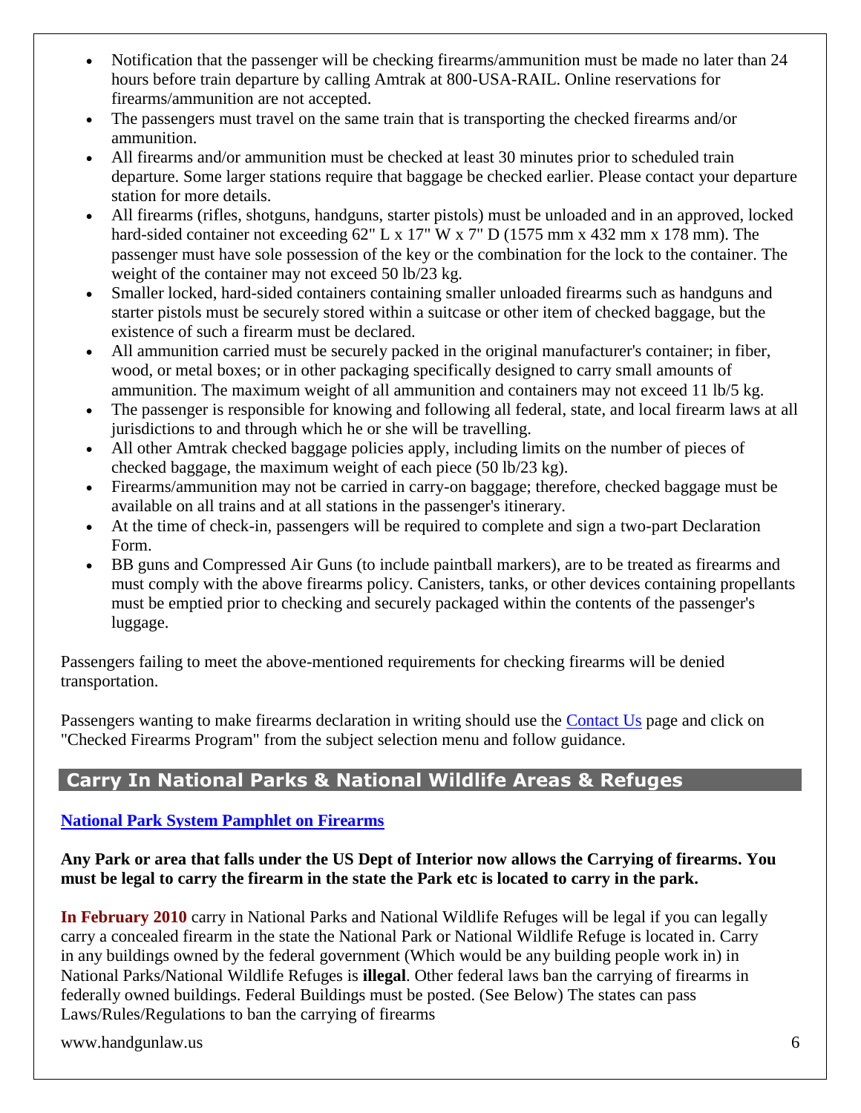- Notification that the passenger will be checking firearms/ammunition must be made no later than 24 hours before train departure by calling Amtrak at 800-USA-RAIL. Online reservations for firearms/ammunition are not accepted.
- The passengers must travel on the same train that is transporting the checked firearms and/or ammunition.
- All firearms and/or ammunition must be checked at least 30 minutes prior to scheduled train departure. Some larger stations require that baggage be checked earlier. Please contact your departure station for more details.
- All firearms (rifles, shotguns, handguns, starter pistols) must be unloaded and in an approved, locked hard-sided container not exceeding 62" L x 17" W x 7" D (1575 mm x 432 mm x 178 mm). The passenger must have sole possession of the key or the combination for the lock to the container. The weight of the container may not exceed 50 lb/23 kg.
- Smaller locked, hard-sided containers containing smaller unloaded firearms such as handguns and starter pistols must be securely stored within a suitcase or other item of checked baggage, but the existence of such a firearm must be declared.
- All ammunition carried must be securely packed in the original manufacturer's container; in fiber, wood, or metal boxes; or in other packaging specifically designed to carry small amounts of ammunition. The maximum weight of all ammunition and containers may not exceed 11 lb/5 kg.
- The passenger is responsible for knowing and following all federal, state, and local firearm laws at all jurisdictions to and through which he or she will be travelling.
- All other Amtrak checked baggage policies apply, including limits on the number of pieces of checked baggage, the maximum weight of each piece (50 lb/23 kg).
- Firearms/ammunition may not be carried in carry-on baggage; therefore, checked baggage must be available on all trains and at all stations in the passenger's itinerary.
- At the time of check-in, passengers will be required to complete and sign a two-part Declaration Form.
- BB guns and Compressed Air Guns (to include paintball markers), are to be treated as firearms and must comply with the above firearms policy. Canisters, tanks, or other devices containing propellants must be emptied prior to checking and securely packaged within the contents of the passenger's luggage.

Passengers failing to meet the above-mentioned requirements for checking firearms will be denied transportation.

Passengers wanting to make firearms declaration in writing should use the [Contact Us](http://www.amtrak.com/servlet/ContentServer?c=Page&pagename=am%2FLayout&cid=1237608364155) page and click on "Checked Firearms Program" from the subject selection menu and follow guidance.

# **Carry In National Parks & National Wildlife Areas & Refuges**

## **[National Park System Pamphlet on Firearms](http://www.nps.gov/grca/parkmgmt/upload/Firearms-in-IMRparks2-2010.pdf)**

### **Any Park or area that falls under the US Dept of Interior now allows the Carrying of firearms. You must be legal to carry the firearm in the state the Park etc is located to carry in the park.**

**In February 2010** carry in National Parks and National Wildlife Refuges will be legal if you can legally carry a concealed firearm in the state the National Park or National Wildlife Refuge is located in. Carry in any buildings owned by the federal government (Which would be any building people work in) in National Parks/National Wildlife Refuges is **illegal**. Other federal laws ban the carrying of firearms in federally owned buildings. Federal Buildings must be posted. (See Below) The states can pass Laws/Rules/Regulations to ban the carrying of firearms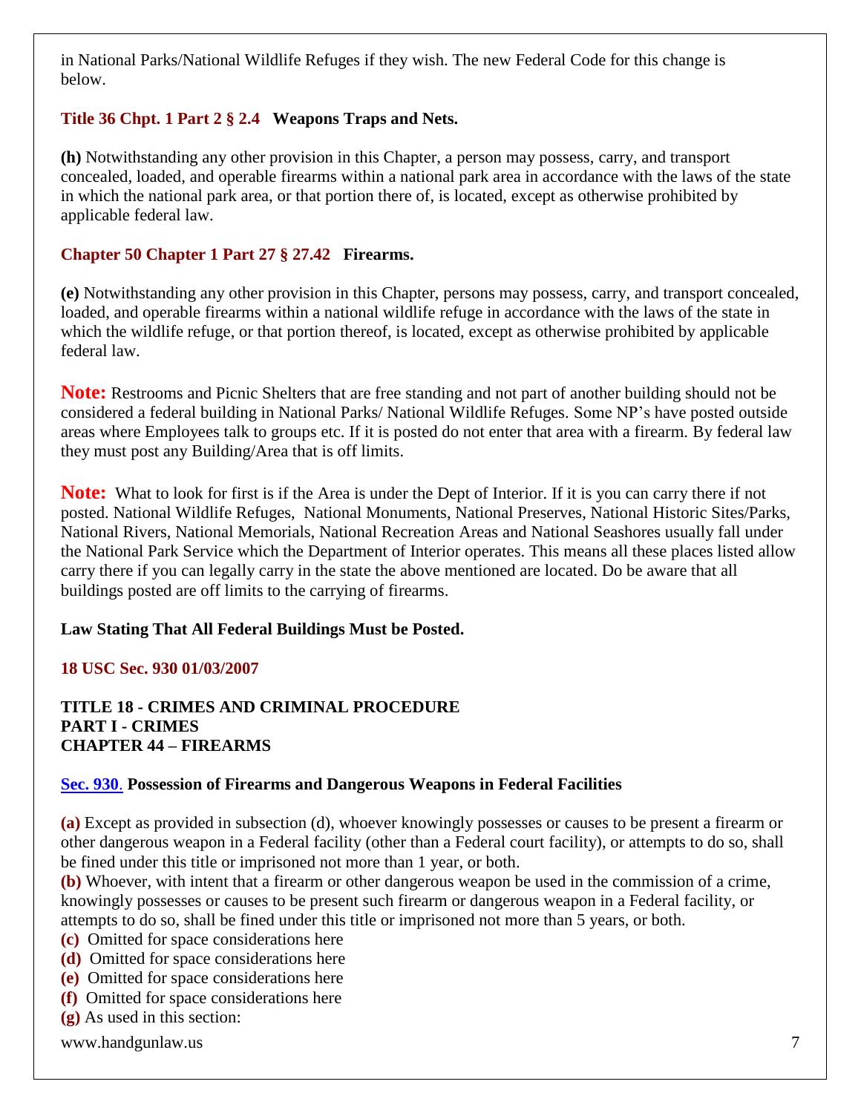in National Parks/National Wildlife Refuges if they wish. The new Federal Code for this change is below.

## **Title 36 Chpt. 1 Part 2 § 2.4 Weapons Traps and Nets.**

**(h)** Notwithstanding any other provision in this Chapter, a person may possess, carry, and transport concealed, loaded, and operable firearms within a national park area in accordance with the laws of the state in which the national park area, or that portion there of, is located, except as otherwise prohibited by applicable federal law.

### **Chapter 50 Chapter 1 Part 27 § 27.42 Firearms.**

**(e)** Notwithstanding any other provision in this Chapter, persons may possess, carry, and transport concealed, loaded, and operable firearms within a national wildlife refuge in accordance with the laws of the state in which the wildlife refuge, or that portion thereof, is located, except as otherwise prohibited by applicable federal law.

**Note:** Restrooms and Picnic Shelters that are free standing and not part of another building should not be considered a federal building in National Parks/ National Wildlife Refuges. Some NP's have posted outside areas where Employees talk to groups etc. If it is posted do not enter that area with a firearm. By federal law they must post any Building/Area that is off limits.

**Note:** What to look for first is if the Area is under the Dept of Interior. If it is you can carry there if not posted. National Wildlife Refuges, National Monuments, National Preserves, National Historic Sites/Parks, National Rivers, National Memorials, National Recreation Areas and National Seashores usually fall under the National Park Service which the Department of Interior operates. This means all these places listed allow carry there if you can legally carry in the state the above mentioned are located. Do be aware that all buildings posted are off limits to the carrying of firearms.

#### **Law Stating That All Federal Buildings Must be Posted.**

#### **18 USC Sec. 930 01/03/2007**

### **TITLE 18 - CRIMES AND CRIMINAL PROCEDURE PART I - CRIMES CHAPTER 44 – FIREARMS**

#### **[Sec. 930](http://www.law.cornell.edu/uscode/html/uscode18/usc_sec_18_00000930----000-.html)**. **Possession of Firearms and Dangerous Weapons in Federal Facilities**

**(a)** Except as provided in subsection (d), whoever knowingly possesses or causes to be present a firearm or other dangerous weapon in a Federal facility (other than a Federal court facility), or attempts to do so, shall be fined under this title or imprisoned not more than 1 year, or both.

**(b)** Whoever, with intent that a firearm or other dangerous weapon be used in the commission of a crime, knowingly possesses or causes to be present such firearm or dangerous weapon in a Federal facility, or attempts to do so, shall be fined under this title or imprisoned not more than 5 years, or both.

- **(c)** Omitted for space considerations here
- **(d)** Omitted for space considerations here
- **(e)** Omitted for space considerations here
- **(f)** Omitted for space considerations here
- **(g)** As used in this section: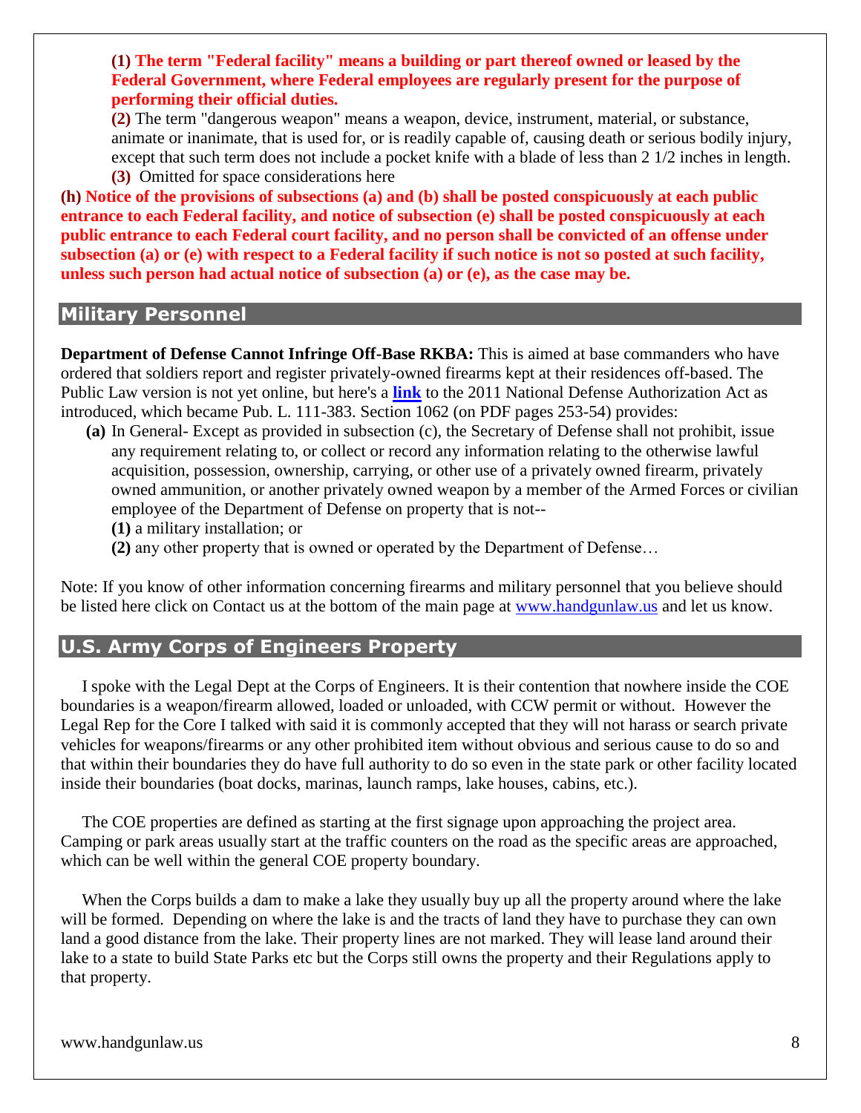**(1) The term "Federal facility" means a building or part thereof owned or leased by the Federal Government, where Federal employees are regularly present for the purpose of performing their official duties.**

**(2)** The term "dangerous weapon" means a weapon, device, instrument, material, or substance, animate or inanimate, that is used for, or is readily capable of, causing death or serious bodily injury, except that such term does not include a pocket knife with a blade of less than 2 1/2 inches in length.

**(3)** Omitted for space considerations here

**(h) Notice of the provisions of subsections (a) and (b) shall be posted conspicuously at each public entrance to each Federal facility, and notice of subsection (e) shall be posted conspicuously at each public entrance to each Federal court facility, and no person shall be convicted of an offense under subsection (a) or (e) with respect to a Federal facility if such notice is not so posted at such facility, unless such person had actual notice of subsection (a) or (e), as the case may be.**

## **Military Personnel**

**Department of Defense Cannot Infringe Off-Base RKBA:** This is aimed at base commanders who have ordered that soldiers report and register privately-owned firearms kept at their residences off-based. The Public Law version is not yet online, but here's a **[link](http://www.gpo.gov/fdsys/pkg/CPRT-111HPRT63160/pdf/CPRT-111HPRT63160.pdf)** to the 2011 National Defense Authorization Act as introduced, which became Pub. L. 111-383. Section 1062 (on PDF pages 253-54) provides:

**(a)** In General- Except as provided in subsection (c), the Secretary of Defense shall not prohibit, issue any requirement relating to, or collect or record any information relating to the otherwise lawful acquisition, possession, ownership, carrying, or other use of a privately owned firearm, privately owned ammunition, or another privately owned weapon by a member of the Armed Forces or civilian employee of the Department of Defense on property that is not--

**(1)** a military installation; or

**(2)** any other property that is owned or operated by the Department of Defense…

Note: If you know of other information concerning firearms and military personnel that you believe should be listed here click on Contact us at the bottom of the main page at [www.handgunlaw.us](http://www.handgunlaw.us/) and let us know.

## **U.S. Army Corps of Engineers Property**

 I spoke with the Legal Dept at the Corps of Engineers. It is their contention that nowhere inside the COE boundaries is a weapon/firearm allowed, loaded or unloaded, with CCW permit or without. However the Legal Rep for the Core I talked with said it is commonly accepted that they will not harass or search private vehicles for weapons/firearms or any other prohibited item without obvious and serious cause to do so and that within their boundaries they do have full authority to do so even in the state park or other facility located inside their boundaries (boat docks, marinas, launch ramps, lake houses, cabins, etc.).

 The COE properties are defined as starting at the first signage upon approaching the project area. Camping or park areas usually start at the traffic counters on the road as the specific areas are approached, which can be well within the general COE property boundary.

When the Corps builds a dam to make a lake they usually buy up all the property around where the lake will be formed. Depending on where the lake is and the tracts of land they have to purchase they can own land a good distance from the lake. Their property lines are not marked. They will lease land around their lake to a state to build State Parks etc but the Corps still owns the property and their Regulations apply to that property.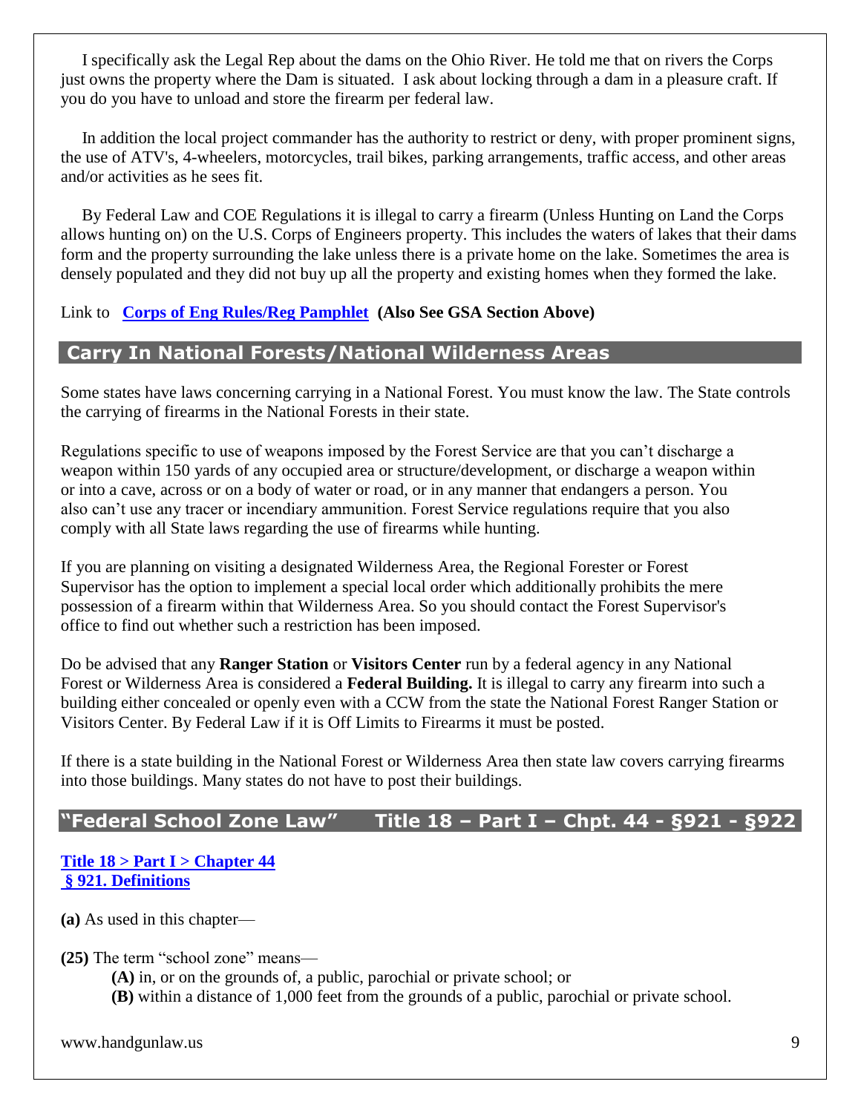I specifically ask the Legal Rep about the dams on the Ohio River. He told me that on rivers the Corps just owns the property where the Dam is situated. I ask about locking through a dam in a pleasure craft. If you do you have to unload and store the firearm per federal law.

 In addition the local project commander has the authority to restrict or deny, with proper prominent signs, the use of ATV's, 4-wheelers, motorcycles, trail bikes, parking arrangements, traffic access, and other areas and/or activities as he sees fit.

 By Federal Law and COE Regulations it is illegal to carry a firearm (Unless Hunting on Land the Corps allows hunting on) on the U.S. Corps of Engineers property. This includes the waters of lakes that their dams form and the property surrounding the lake unless there is a private home on the lake. Sometimes the area is densely populated and they did not buy up all the property and existing homes when they formed the lake.

## Link to **Corps [of Eng Rules/Reg Pamphlet](http://www.handgunlaw.us/documents/COERulesPamphlet.pdf) (Also See GSA Section Above)**

## **Carry In National Forests/National Wilderness Areas**

Some states have laws concerning carrying in a National Forest. You must know the law. The State controls the carrying of firearms in the National Forests in their state.

Regulations specific to use of weapons imposed by the Forest Service are that you can't discharge a weapon within 150 yards of any occupied area or structure/development, or discharge a weapon within or into a cave, across or on a body of water or road, or in any manner that endangers a person. You also can't use any tracer or incendiary ammunition. Forest Service regulations require that you also comply with all State laws regarding the use of firearms while hunting.

If you are planning on visiting a designated Wilderness Area, the Regional Forester or Forest Supervisor has the option to implement a special local order which additionally prohibits the mere possession of a firearm within that Wilderness Area. So you should contact the Forest Supervisor's office to find out whether such a restriction has been imposed.

Do be advised that any **Ranger Station** or **Visitors Center** run by a federal agency in any National Forest or Wilderness Area is considered a **Federal Building.** It is illegal to carry any firearm into such a building either concealed or openly even with a CCW from the state the National Forest Ranger Station or Visitors Center. By Federal Law if it is Off Limits to Firearms it must be posted.

If there is a state building in the National Forest or Wilderness Area then state law covers carrying firearms into those buildings. Many states do not have to post their buildings.

## **"Federal School Zone Law" Title 18 – Part I – Chpt. 44 - §921 - §922**

#### **[Title 18 > Part I > Chapter 44](http://www.law.cornell.edu/uscode/html/uscode18/usc_sup_01_18_10_I_20_44.html)  § [921. Definitions](http://www.law.cornell.edu/uscode/html/uscode18/usc_sup_01_18_10_I_20_44.html)**

**(a)** As used in this chapter—

**(25)** The term "school zone" means—

**(A)** in, or on the grounds of, a public, parochial or private school; or

**(B)** within a distance of 1,000 feet from the grounds of a public, parochial or private school.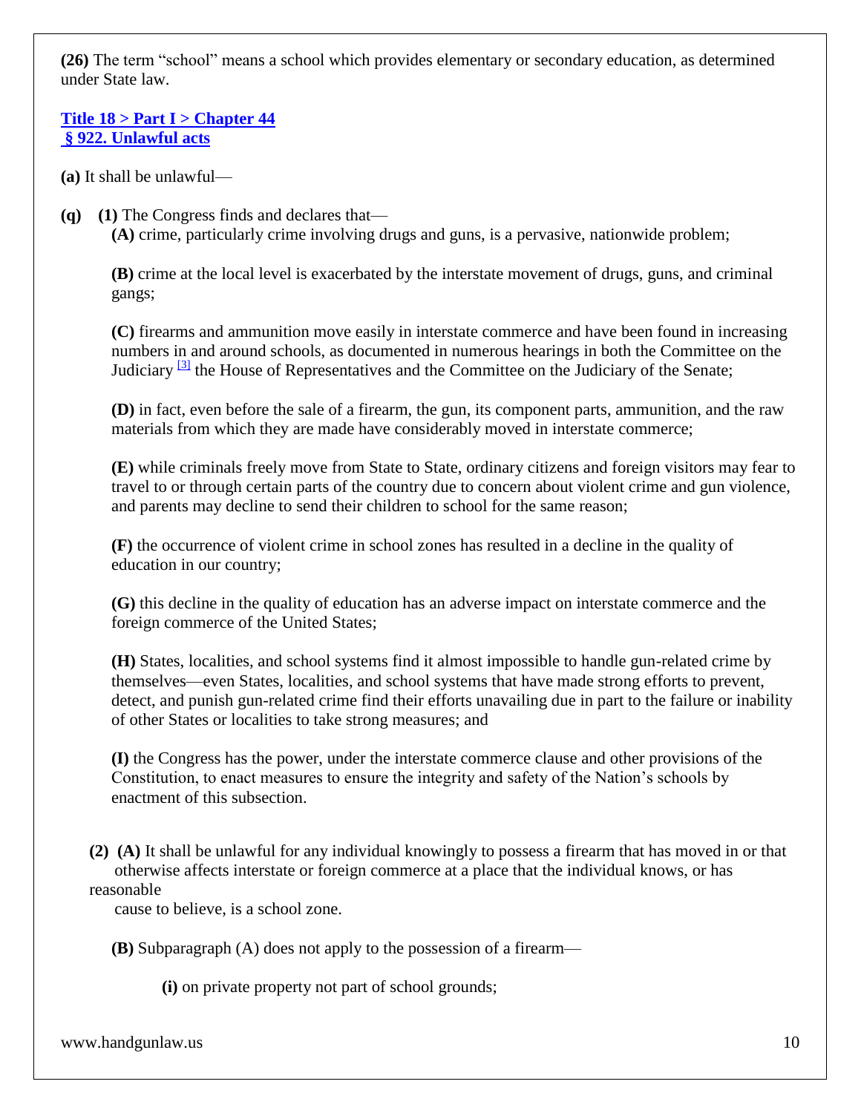**(26)** The term "school" means a school which provides elementary or secondary education, as determined under State law.

**[Title 18 > Part I > Chapter 44](http://www.law.cornell.edu/uscode/html/uscode18/usc_sup_01_18_10_I_20_44.html)  § [922. Unlawful acts](http://www.law.cornell.edu/uscode/html/uscode18/usc_sup_01_18_10_I_20_44.html)**

**(a)** It shall be unlawful—

**(q) (1)** The Congress finds and declares that— **(A)** crime, particularly crime involving drugs and guns, is a pervasive, nationwide problem;

**(B)** crime at the local level is exacerbated by the interstate movement of drugs, guns, and criminal gangs;

**(C)** firearms and ammunition move easily in interstate commerce and have been found in increasing numbers in and around schools, as documented in numerous hearings in both the Committee on the Judiciary  $\frac{3}{3}$  the House of Representatives and the Committee on the Judiciary of the Senate;

**(D)** in fact, even before the sale of a firearm, the gun, its component parts, ammunition, and the raw materials from which they are made have considerably moved in interstate commerce;

**(E)** while criminals freely move from State to State, ordinary citizens and foreign visitors may fear to travel to or through certain parts of the country due to concern about violent crime and gun violence, and parents may decline to send their children to school for the same reason;

**(F)** the occurrence of violent crime in school zones has resulted in a decline in the quality of education in our country;

**(G)** this decline in the quality of education has an adverse impact on interstate commerce and the foreign commerce of the United States;

**(H)** States, localities, and school systems find it almost impossible to handle gun-related crime by themselves—even States, localities, and school systems that have made strong efforts to prevent, detect, and punish gun-related crime find their efforts unavailing due in part to the failure or inability of other States or localities to take strong measures; and

**(I)** the Congress has the power, under the interstate commerce clause and other provisions of the Constitution, to enact measures to ensure the integrity and safety of the Nation's schools by enactment of this subsection.

**(2) (A)** It shall be unlawful for any individual knowingly to possess a firearm that has moved in or that otherwise affects interstate or foreign commerce at a place that the individual knows, or has reasonable

cause to believe, is a school zone.

**(B)** Subparagraph (A) does not apply to the possession of a firearm—

**(i)** on private property not part of school grounds;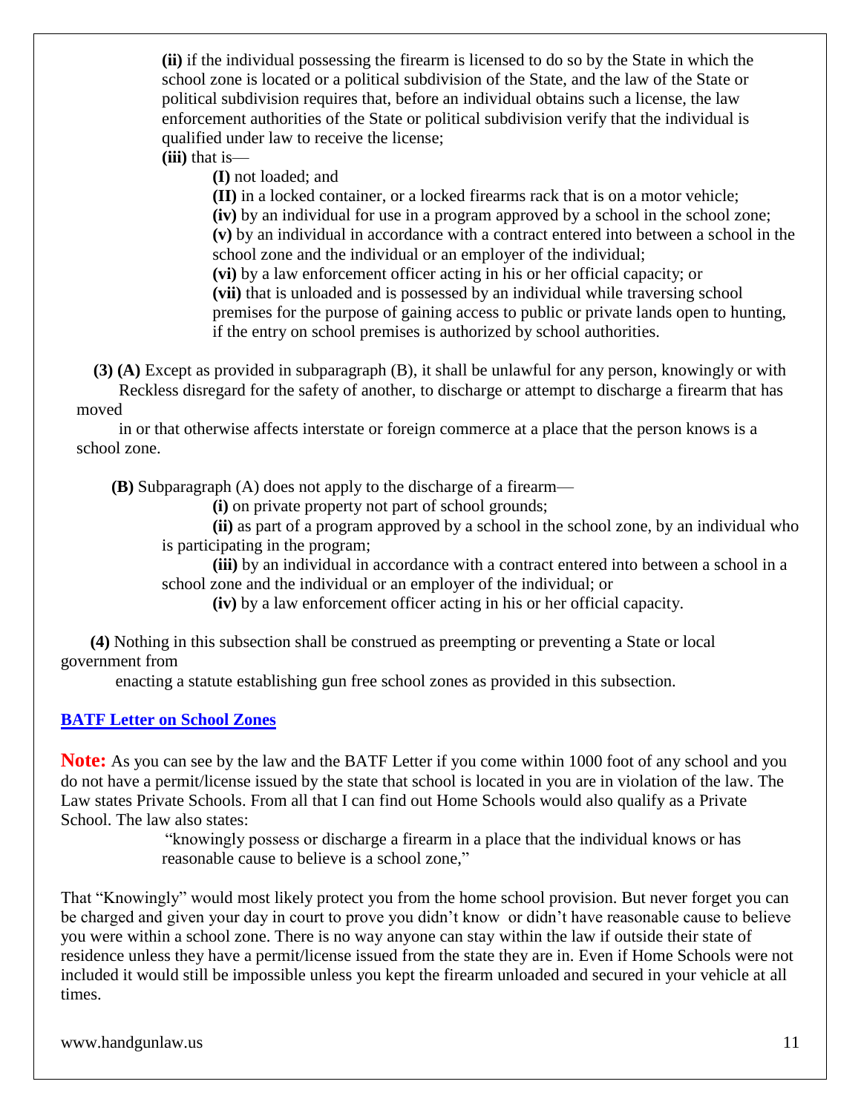**(ii)** if the individual possessing the firearm is licensed to do so by the State in which the school zone is located or a political subdivision of the State, and the law of the State or political subdivision requires that, before an individual obtains such a license, the law enforcement authorities of the State or political subdivision verify that the individual is qualified under law to receive the license;

**(iii)** that is—

**(I)** not loaded; and

**(II)** in a locked container, or a locked firearms rack that is on a motor vehicle; **(iv)** by an individual for use in a program approved by a school in the school zone; **(v)** by an individual in accordance with a contract entered into between a school in the school zone and the individual or an employer of the individual;

**(vi)** by a law enforcement officer acting in his or her official capacity; or **(vii)** that is unloaded and is possessed by an individual while traversing school premises for the purpose of gaining access to public or private lands open to hunting, if the entry on school premises is authorized by school authorities.

 **(3) (A)** Except as provided in subparagraph (B), it shall be unlawful for any person, knowingly or with

 Reckless disregard for the safety of another, to discharge or attempt to discharge a firearm that has moved

 in or that otherwise affects interstate or foreign commerce at a place that the person knows is a school zone.

**(B)** Subparagraph (A) does not apply to the discharge of a firearm—

**(i)** on private property not part of school grounds;

**(ii)** as part of a program approved by a school in the school zone, by an individual who is participating in the program;

**(iii)** by an individual in accordance with a contract entered into between a school in a school zone and the individual or an employer of the individual; or

**(iv)** by a law enforcement officer acting in his or her official capacity.

 **(4)** Nothing in this subsection shall be construed as preempting or preventing a State or local government from

enacting a statute establishing gun free school zones as provided in this subsection.

#### **BATF [Letter on School Zones](http://www.handgunlaw.us/documents/batf_school_zone.pdf)**

**Note:** As you can see by the law and the BATF Letter if you come within 1000 foot of any school and you do not have a permit/license issued by the state that school is located in you are in violation of the law. The Law states Private Schools. From all that I can find out Home Schools would also qualify as a Private School. The law also states:

> "knowingly possess or discharge a firearm in a place that the individual knows or has reasonable cause to believe is a school zone,"

That "Knowingly" would most likely protect you from the home school provision. But never forget you can be charged and given your day in court to prove you didn't know or didn't have reasonable cause to believe you were within a school zone. There is no way anyone can stay within the law if outside their state of residence unless they have a permit/license issued from the state they are in. Even if Home Schools were not included it would still be impossible unless you kept the firearm unloaded and secured in your vehicle at all times.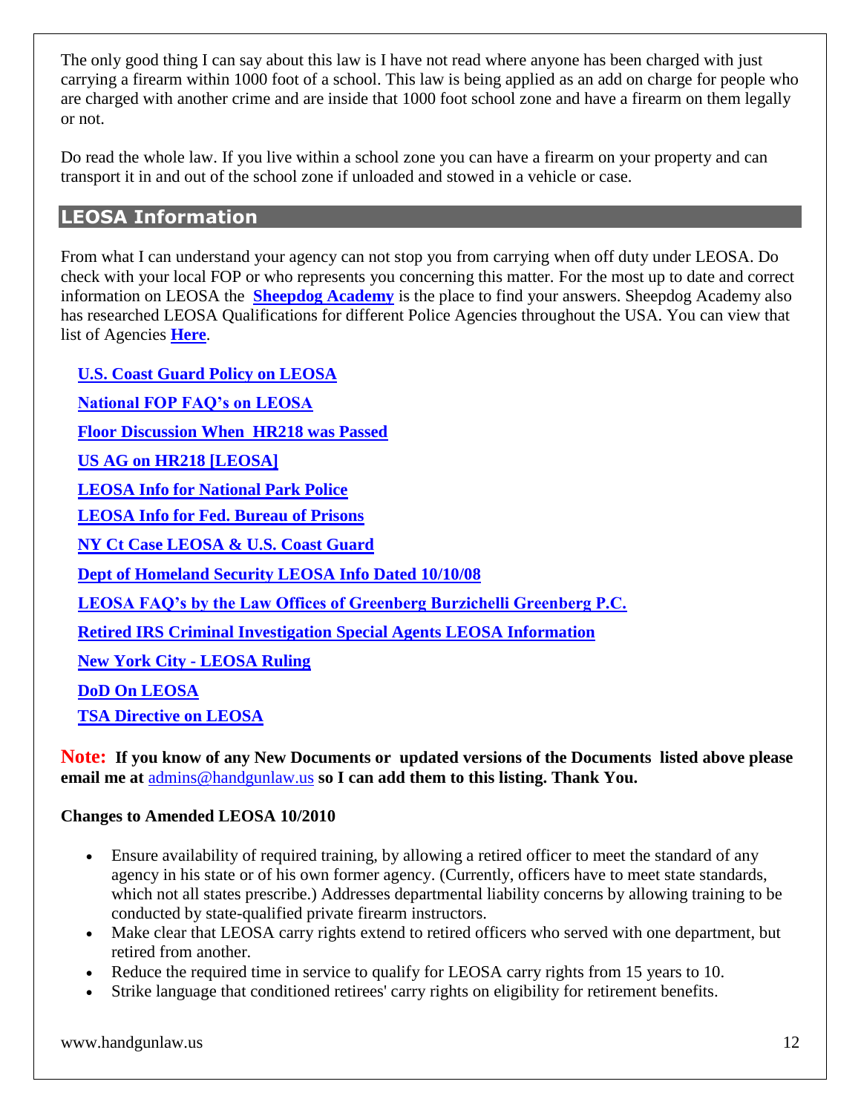The only good thing I can say about this law is I have not read where anyone has been charged with just carrying a firearm within 1000 foot of a school. This law is being applied as an add on charge for people who are charged with another crime and are inside that 1000 foot school zone and have a firearm on them legally or not.

Do read the whole law. If you live within a school zone you can have a firearm on your property and can transport it in and out of the school zone if unloaded and stowed in a vehicle or case.

## **LEOSA Information**

From what I can understand your agency can not stop you from carrying when off duty under LEOSA. Do check with your local FOP or who represents you concerning this matter. For the most up to date and correct information on LEOSA the **[Sheepdog Academy](http://hr218leosa.com/?page=home)** is the place to find your answers. Sheepdog Academy also has researched LEOSA Qualifications for different Police Agencies throughout the USA. You can view that list of Agencies **[Here](http://www.hr218leosa.com/docs/Table%20of%20LEO%20Authorities.pdf)**.

 **[U.S. Coast Guard Policy on LEOSA](http://handgunlaw.us/documents/USCoastGuardLEOSAPolicy11_2010.pdf) [National FOP FAQ's on LEOSA](http://www.fop.net/legislative/issues/hr218/hr218faq.pdf) [Floor Discussion When HR218 was Passed](http://www.handgunlaw.us/documents/LEOSA2003HRFloorDiscussion.pdf) [US AG on HR218 \[LEOSA\]](http://www.handgunlaw.us/documents/USAG-HR218.pdf)  [LEOSA Info for National Park Police](http://handgunlaw.us/documents/NationalParkPoliceLEOSA.pdf) [LEOSA Info for Fed. Bureau](http://handgunlaw.us/documents/FBOP-LEOSAMemo.pdf) of Prisons [NY Ct Case LEOSA & U.S. Coast Guard](http://handgunlaw.us/documents/LEOSACoastGuardCarryCourtCase.pdf) [Dept of Homeland Security LEOSA Info Dated 10/10/08](http://www.dhs.gov/xlibrary/assets/foia/mgmt_directive_257-01_law_enforcement_officers_safety_act.pdf) [LEOSA FAQ's by the Law Offices of Greenberg Burzichelli Greenberg P.C.](http://www.gbglawoffice.com/resources/leosa_faq.html) [Retired IRS Criminal Investigation Special Agents LEOSA Information](http://www.irs.gov/compliance/enforcement/article/0,,id=153501,00.html) [New York City -](http://www.handgunlaw.us/documents/agopinions/NYCtLEOSARulingPeoplevsRodriguez.PDF) LEOSA Ruling [DoD On LEOSA](http://www.dtic.mil/whs/directives/corres/pdf/552512p.pdf) [TSA Directive on LEOSA](http://www.handgunlaw.us/documents/TSA_LEOSA_Directive.pdf)**

**Note: If you know of any New Documents or updated versions of the Documents listed above please email me at** [admins@handgunlaw.us](mailto:admins@handgunlaw.us) **so I can add them to this listing. Thank You.** 

#### **Changes to Amended LEOSA 10/2010**

- Ensure availability of required training, by allowing a retired officer to meet the standard of any agency in his state or of his own former agency. (Currently, officers have to meet state standards, which not all states prescribe.) Addresses departmental liability concerns by allowing training to be conducted by state-qualified private firearm instructors.
- Make clear that LEOSA carry rights extend to retired officers who served with one department, but retired from another.
- Reduce the required time in service to qualify for LEOSA carry rights from 15 years to 10.
- Strike language that conditioned retirees' carry rights on eligibility for retirement benefits.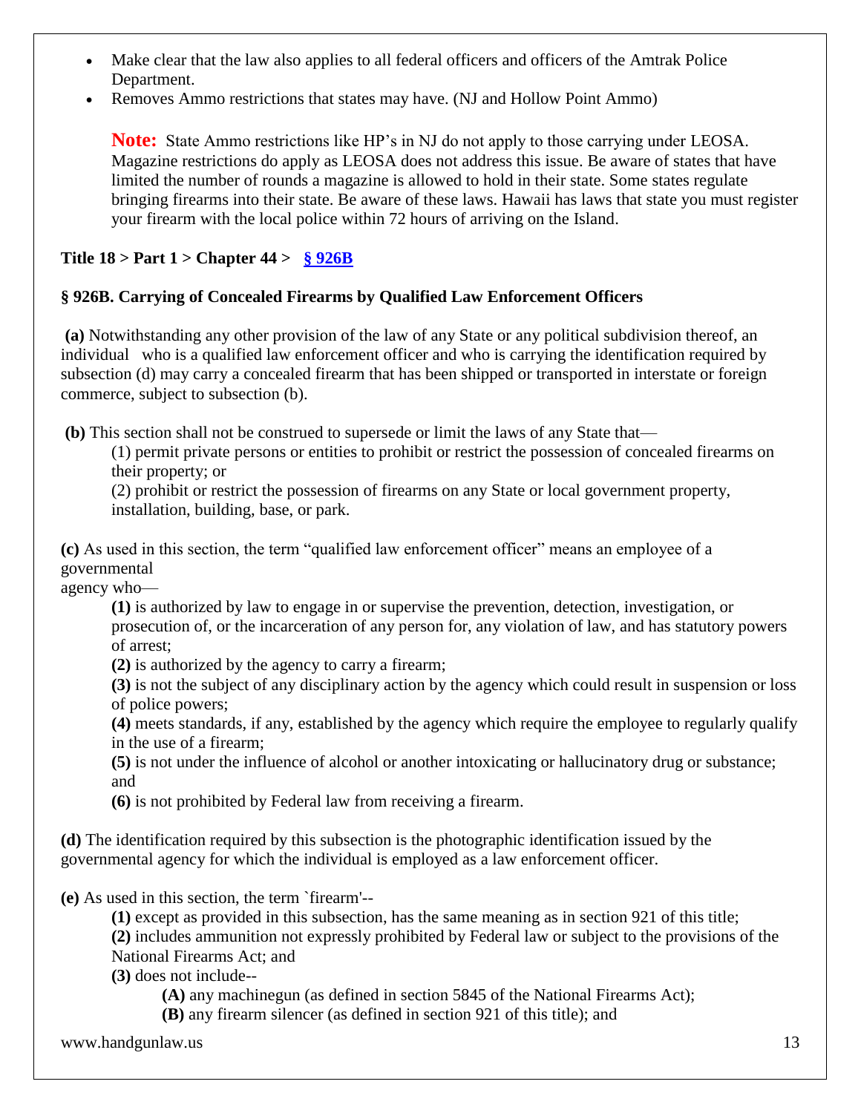- Make clear that the law also applies to all federal officers and officers of the Amtrak Police Department.
- Removes Ammo restrictions that states may have. (NJ and Hollow Point Ammo)

**Note:** State Ammo restrictions like HP's in NJ do not apply to those carrying under LEOSA. Magazine restrictions do apply as LEOSA does not address this issue. Be aware of states that have limited the number of rounds a magazine is allowed to hold in their state. Some states regulate bringing firearms into their state. Be aware of these laws. Hawaii has laws that state you must register your firearm with the local police within 72 hours of arriving on the Island.

## **Title 18 > Part 1 > Chapter 44 > § [926B](http://www.law.cornell.edu/uscode/html/uscode18/usc_sec_18_00000926---B000-.html)**

## **§ 926B. Carrying of Concealed Firearms by Qualified Law Enforcement Officers**

**(a)** Notwithstanding any other provision of the law of any State or any political subdivision thereof, an individual who is a qualified law enforcement officer and who is carrying the identification required by subsection (d) may carry a concealed firearm that has been shipped or transported in interstate or foreign commerce, subject to subsection (b).

**(b)** This section shall not be construed to supersede or limit the laws of any State that—

(1) permit private persons or entities to prohibit or restrict the possession of concealed firearms on their property; or

(2) prohibit or restrict the possession of firearms on any State or local government property, installation, building, base, or park.

**(c)** As used in this section, the term "qualified law enforcement officer" means an employee of a governmental

agency who—

**(1)** is authorized by law to engage in or supervise the prevention, detection, investigation, or prosecution of, or the incarceration of any person for, any violation of law, and has statutory powers of arrest;

**(2)** is authorized by the agency to carry a firearm;

**(3)** is not the subject of any disciplinary action by the agency which could result in suspension or loss of police powers;

**(4)** meets standards, if any, established by the agency which require the employee to regularly qualify in the use of a firearm;

**(5)** is not under the influence of alcohol or another intoxicating or hallucinatory drug or substance; and

**(6)** is not prohibited by Federal law from receiving a firearm.

**(d)** The identification required by this subsection is the photographic identification issued by the governmental agency for which the individual is employed as a law enforcement officer.

**(e)** As used in this section, the term `firearm'--

**(1)** except as provided in this subsection, has the same meaning as in section 921 of this title;

**(2)** includes ammunition not expressly prohibited by Federal law or subject to the provisions of the National Firearms Act; and

**(3)** does not include--

**(A)** any machinegun (as defined in section 5845 of the National Firearms Act);

**(B)** any firearm silencer (as defined in section 921 of this title); and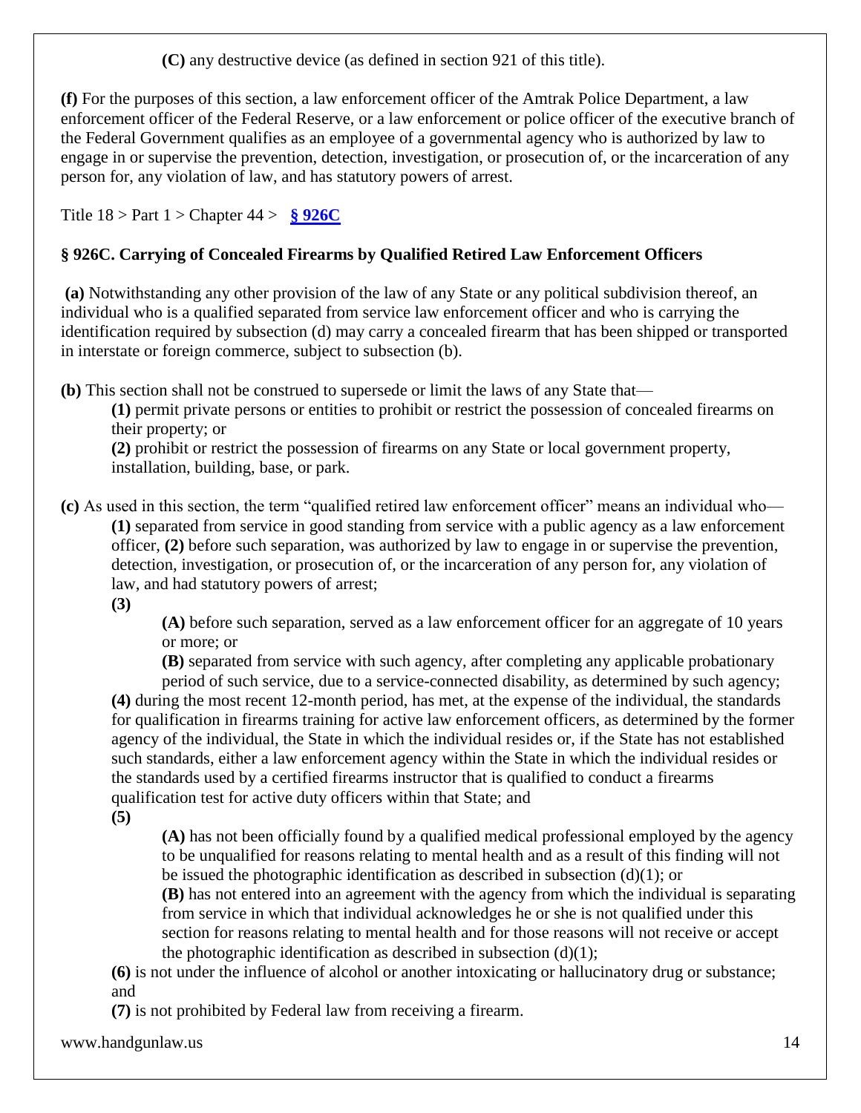**(C)** any destructive device (as defined in section 921 of this title).

**(f)** For the purposes of this section, a law enforcement officer of the Amtrak Police Department, a law enforcement officer of the Federal Reserve, or a law enforcement or police officer of the executive branch of the Federal Government qualifies as an employee of a governmental agency who is authorized by law to engage in or supervise the prevention, detection, investigation, or prosecution of, or the incarceration of any person for, any violation of law, and has statutory powers of arrest.

Title 18 > Part 1 > Chapter 44 > **§ [926C](http://www.law.cornell.edu/uscode/html/uscode18/usc_sec_18_00000926---C000-.html)**

## **§ 926C. Carrying of Concealed Firearms by Qualified Retired Law Enforcement Officers**

**(a)** Notwithstanding any other provision of the law of any State or any political subdivision thereof, an individual who is a qualified separated from service law enforcement officer and who is carrying the identification required by subsection (d) may carry a concealed firearm that has been shipped or transported in interstate or foreign commerce, subject to subsection (b).

**(b)** This section shall not be construed to supersede or limit the laws of any State that—

**(1)** permit private persons or entities to prohibit or restrict the possession of concealed firearms on their property; or

**(2)** prohibit or restrict the possession of firearms on any State or local government property, installation, building, base, or park.

**(c)** As used in this section, the term "qualified retired law enforcement officer" means an individual who— **(1)** separated from service in good standing from service with a public agency as a law enforcement officer, **(2)** before such separation, was authorized by law to engage in or supervise the prevention, detection, investigation, or prosecution of, or the incarceration of any person for, any violation of law, and had statutory powers of arrest;

**(3)**

**(A)** before such separation, served as a law enforcement officer for an aggregate of 10 years or more; or

**(B)** separated from service with such agency, after completing any applicable probationary

period of such service, due to a service-connected disability, as determined by such agency; **(4)** during the most recent 12-month period, has met, at the expense of the individual, the standards for qualification in firearms training for active law enforcement officers, as determined by the former agency of the individual, the State in which the individual resides or, if the State has not established such standards, either a law enforcement agency within the State in which the individual resides or the standards used by a certified firearms instructor that is qualified to conduct a firearms qualification test for active duty officers within that State; and

**(5)**

**(A)** has not been officially found by a qualified medical professional employed by the agency to be unqualified for reasons relating to mental health and as a result of this finding will not be issued the photographic identification as described in subsection  $(d)(1)$ ; or

**(B)** has not entered into an agreement with the agency from which the individual is separating from service in which that individual acknowledges he or she is not qualified under this section for reasons relating to mental health and for those reasons will not receive or accept the photographic identification as described in subsection  $(d)(1)$ ;

**(6)** is not under the influence of alcohol or another intoxicating or hallucinatory drug or substance; and

**(7)** is not prohibited by Federal law from receiving a firearm.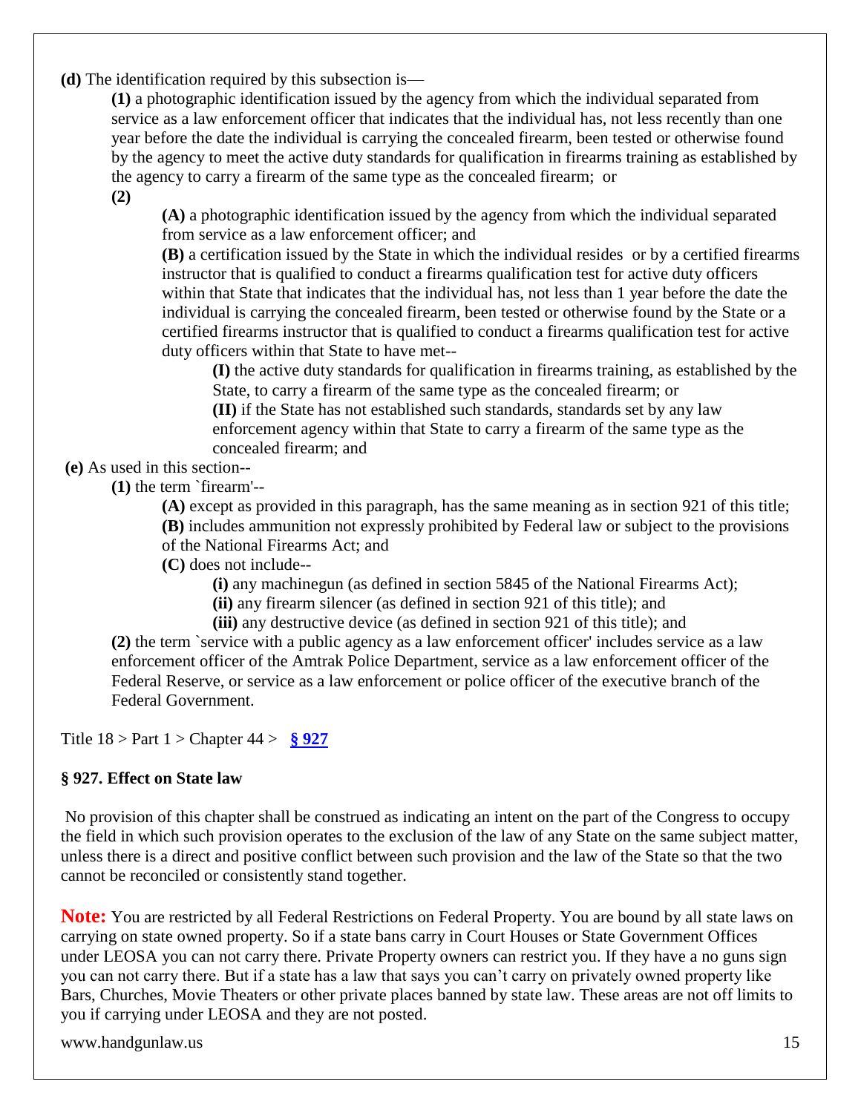**(d)** The identification required by this subsection is—

**(1)** a photographic identification issued by the agency from which the individual separated from service as a law enforcement officer that indicates that the individual has, not less recently than one year before the date the individual is carrying the concealed firearm, been tested or otherwise found by the agency to meet the active duty standards for qualification in firearms training as established by the agency to carry a firearm of the same type as the concealed firearm; or

**(2)**

**(A)** a photographic identification issued by the agency from which the individual separated from service as a law enforcement officer; and

**(B)** a certification issued by the State in which the individual resides or by a certified firearms instructor that is qualified to conduct a firearms qualification test for active duty officers within that State that indicates that the individual has, not less than 1 year before the date the individual is carrying the concealed firearm, been tested or otherwise found by the State or a certified firearms instructor that is qualified to conduct a firearms qualification test for active duty officers within that State to have met--

**(I)** the active duty standards for qualification in firearms training, as established by the State, to carry a firearm of the same type as the concealed firearm; or

**(II)** if the State has not established such standards, standards set by any law enforcement agency within that State to carry a firearm of the same type as the concealed firearm; and

### **(e)** As used in this section--

**(1)** the term `firearm'--

**(A)** except as provided in this paragraph, has the same meaning as in section 921 of this title; **(B)** includes ammunition not expressly prohibited by Federal law or subject to the provisions of the National Firearms Act; and

**(C)** does not include--

**(i)** any machinegun (as defined in section 5845 of the National Firearms Act);

**(ii)** any firearm silencer (as defined in section 921 of this title); and

**(iii)** any destructive device (as defined in section 921 of this title); and

**(2)** the term `service with a public agency as a law enforcement officer' includes service as a law enforcement officer of the Amtrak Police Department, service as a law enforcement officer of the Federal Reserve, or service as a law enforcement or police officer of the executive branch of the Federal Government.

Title 18 > Part 1 > Chapter 44 > **§ [927](http://www.law.cornell.edu/uscode/html/uscode18/usc_sec_18_00000927----000-.html)**

#### **§ 927. Effect on State law**

No provision of this chapter shall be construed as indicating an intent on the part of the Congress to occupy the field in which such provision operates to the exclusion of the law of any State on the same subject matter, unless there is a direct and positive conflict between such provision and the law of the State so that the two cannot be reconciled or consistently stand together.

**Note:** You are restricted by all Federal Restrictions on Federal Property. You are bound by all state laws on carrying on state owned property. So if a state bans carry in Court Houses or State Government Offices under LEOSA you can not carry there. Private Property owners can restrict you. If they have a no guns sign you can not carry there. But if a state has a law that says you can't carry on privately owned property like Bars, Churches, Movie Theaters or other private places banned by state law. These areas are not off limits to you if carrying under LEOSA and they are not posted.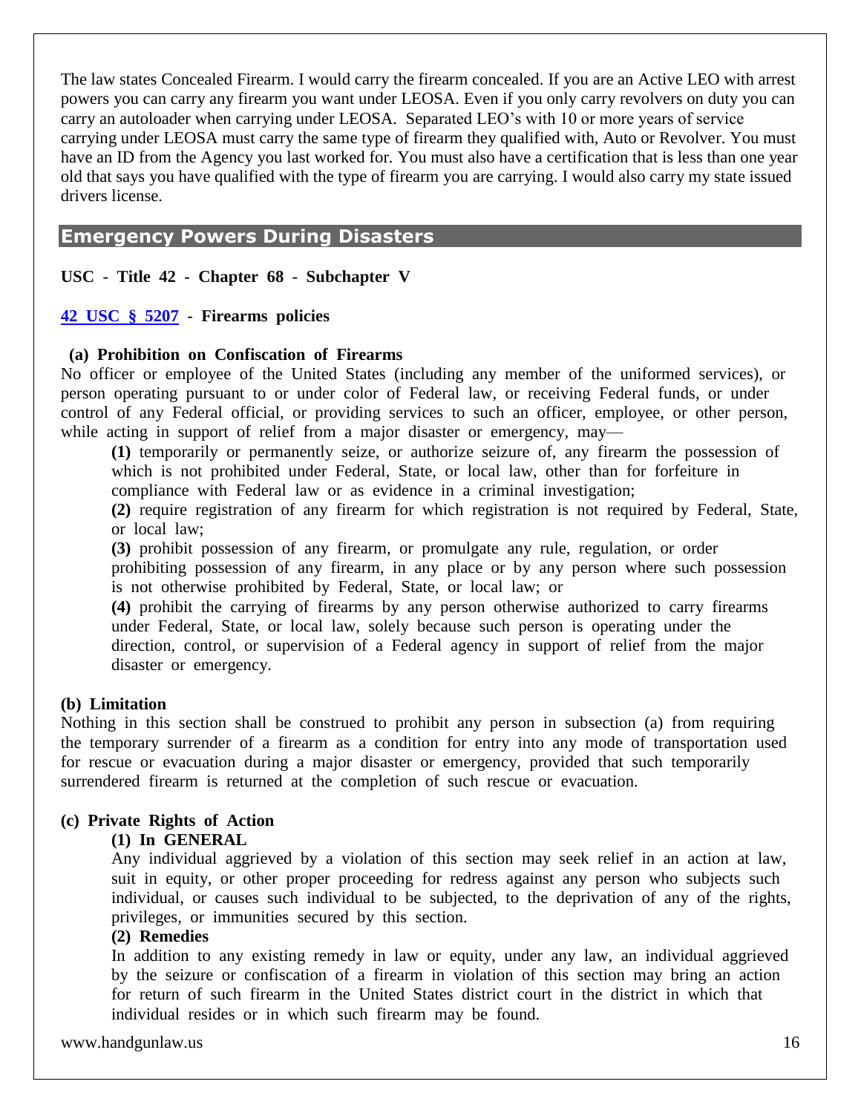The law states Concealed Firearm. I would carry the firearm concealed. If you are an Active LEO with arrest powers you can carry any firearm you want under LEOSA. Even if you only carry revolvers on duty you can carry an autoloader when carrying under LEOSA. Separated LEO's with 10 or more years of service carrying under LEOSA must carry the same type of firearm they qualified with, Auto or Revolver. You must have an ID from the Agency you last worked for. You must also have a certification that is less than one year old that says you have qualified with the type of firearm you are carrying. I would also carry my state issued drivers license.

### **Emergency Powers During Disasters**

#### **USC - Title 42 - Chapter 68 - Subchapter V**

#### **[42 USC § 5207](http://www.law.cornell.edu/uscode/text/42/5207) - Firearms policies**

#### **(a) Prohibition on Confiscation of Firearms**

No officer or employee of the United States (including any member of the uniformed services), or person operating pursuant to or under color of Federal law, or receiving Federal funds, or under control of any Federal official, or providing services to such an officer, employee, or other person, while acting in support of relief from a major disaster or emergency, may—

**(1)** temporarily or permanently seize, or authorize seizure of, any firearm the possession of which is not prohibited under Federal, State, or local law, other than for forfeiture in compliance with Federal law or as evidence in a criminal investigation;

**(2)** require registration of any firearm for which registration is not required by Federal, State, or local law;

**(3)** prohibit possession of any firearm, or promulgate any rule, regulation, or order prohibiting possession of any firearm, in any place or by any person where such possession is not otherwise prohibited by Federal, State, or local law; or

**(4)** prohibit the carrying of firearms by any person otherwise authorized to carry firearms under Federal, State, or local law, solely because such person is operating under the direction, control, or supervision of a Federal agency in support of relief from the major disaster or emergency.

#### **(b) Limitation**

Nothing in this section shall be construed to prohibit any person in subsection (a) from requiring the temporary surrender of a firearm as a condition for entry into any mode of transportation used for rescue or evacuation during a major disaster or emergency, provided that such temporarily surrendered firearm is returned at the completion of such rescue or evacuation.

#### **(c) Private Rights of Action**

#### **(1) In GENERAL**

Any individual aggrieved by a violation of this section may seek relief in an action at law, suit in equity, or other proper proceeding for redress against any person who subjects such individual, or causes such individual to be subjected, to the deprivation of any of the rights, privileges, or immunities secured by this section.

#### **(2) Remedies**

In addition to any existing remedy in law or equity, under any law, an individual aggrieved by the seizure or confiscation of a firearm in violation of this section may bring an action for return of such firearm in the United States district court in the district in which that individual resides or in which such firearm may be found.